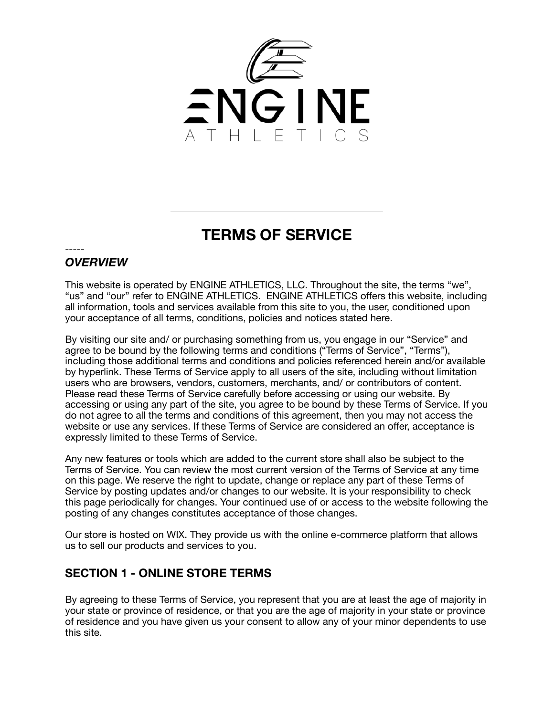

# **TERMS OF SERVICE**

#### ----- *OVERVIEW*

This website is operated by ENGINE ATHLETICS, LLC. Throughout the site, the terms "we", "us" and "our" refer to ENGINE ATHLETICS. ENGINE ATHLETICS offers this website, including all information, tools and services available from this site to you, the user, conditioned upon your acceptance of all terms, conditions, policies and notices stated here.

By visiting our site and/ or purchasing something from us, you engage in our "Service" and agree to be bound by the following terms and conditions ("Terms of Service", "Terms"), including those additional terms and conditions and policies referenced herein and/or available by hyperlink. These Terms of Service apply to all users of the site, including without limitation users who are browsers, vendors, customers, merchants, and/ or contributors of content. Please read these Terms of Service carefully before accessing or using our website. By accessing or using any part of the site, you agree to be bound by these Terms of Service. If you do not agree to all the terms and conditions of this agreement, then you may not access the website or use any services. If these Terms of Service are considered an offer, acceptance is expressly limited to these Terms of Service.

Any new features or tools which are added to the current store shall also be subject to the Terms of Service. You can review the most current version of the Terms of Service at any time on this page. We reserve the right to update, change or replace any part of these Terms of Service by posting updates and/or changes to our website. It is your responsibility to check this page periodically for changes. Your continued use of or access to the website following the posting of any changes constitutes acceptance of those changes.

Our store is hosted on WIX. They provide us with the online e-commerce platform that allows us to sell our products and services to you.

#### **SECTION 1 - ONLINE STORE TERMS**

By agreeing to these Terms of Service, you represent that you are at least the age of majority in your state or province of residence, or that you are the age of majority in your state or province of residence and you have given us your consent to allow any of your minor dependents to use this site.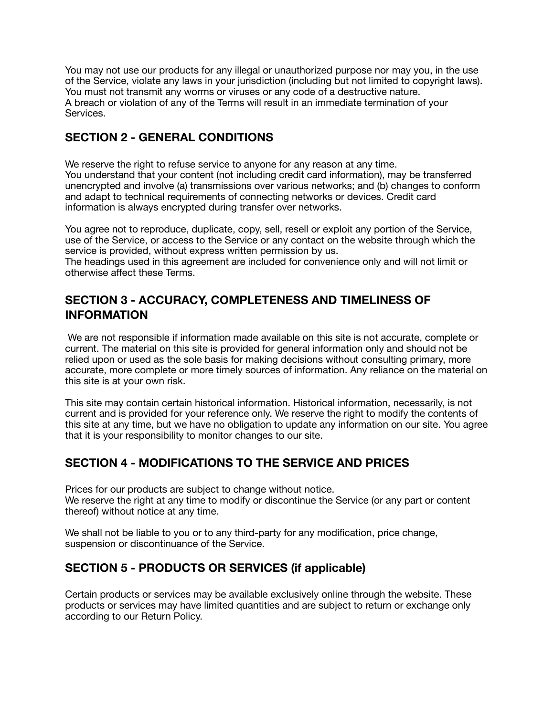You may not use our products for any illegal or unauthorized purpose nor may you, in the use of the Service, violate any laws in your jurisdiction (including but not limited to copyright laws). You must not transmit any worms or viruses or any code of a destructive nature. A breach or violation of any of the Terms will result in an immediate termination of your Services.

# **SECTION 2 - GENERAL CONDITIONS**

We reserve the right to refuse service to anyone for any reason at any time. You understand that your content (not including credit card information), may be transferred unencrypted and involve (a) transmissions over various networks; and (b) changes to conform and adapt to technical requirements of connecting networks or devices. Credit card information is always encrypted during transfer over networks.

You agree not to reproduce, duplicate, copy, sell, resell or exploit any portion of the Service, use of the Service, or access to the Service or any contact on the website through which the service is provided, without express written permission by us.

The headings used in this agreement are included for convenience only and will not limit or otherwise affect these Terms.

#### **SECTION 3 - ACCURACY, COMPLETENESS AND TIMELINESS OF INFORMATION**

 We are not responsible if information made available on this site is not accurate, complete or current. The material on this site is provided for general information only and should not be relied upon or used as the sole basis for making decisions without consulting primary, more accurate, more complete or more timely sources of information. Any reliance on the material on this site is at your own risk.

This site may contain certain historical information. Historical information, necessarily, is not current and is provided for your reference only. We reserve the right to modify the contents of this site at any time, but we have no obligation to update any information on our site. You agree that it is your responsibility to monitor changes to our site.

# **SECTION 4 - MODIFICATIONS TO THE SERVICE AND PRICES**

Prices for our products are subject to change without notice. We reserve the right at any time to modify or discontinue the Service (or any part or content thereof) without notice at any time.

We shall not be liable to you or to any third-party for any modification, price change, suspension or discontinuance of the Service.

# **SECTION 5 - PRODUCTS OR SERVICES (if applicable)**

Certain products or services may be available exclusively online through the website. These products or services may have limited quantities and are subject to return or exchange only according to our Return Policy.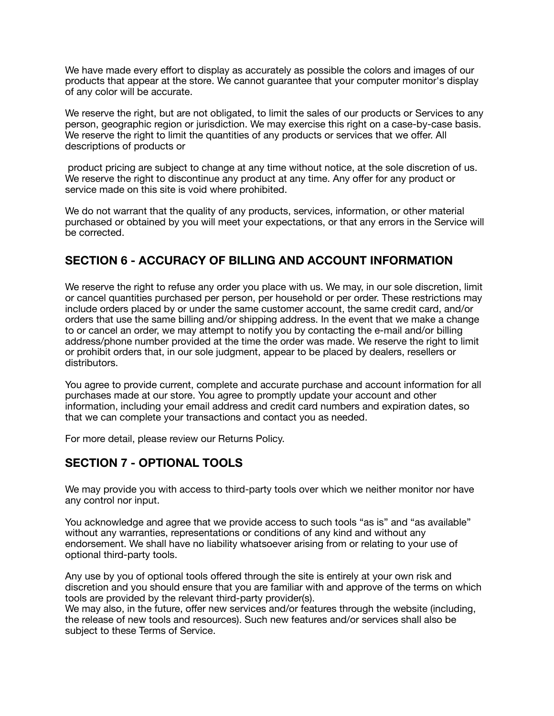We have made every effort to display as accurately as possible the colors and images of our products that appear at the store. We cannot guarantee that your computer monitor's display of any color will be accurate.

We reserve the right, but are not obligated, to limit the sales of our products or Services to any person, geographic region or jurisdiction. We may exercise this right on a case-by-case basis. We reserve the right to limit the quantities of any products or services that we offer. All descriptions of products or

 product pricing are subject to change at any time without notice, at the sole discretion of us. We reserve the right to discontinue any product at any time. Any offer for any product or service made on this site is void where prohibited.

We do not warrant that the quality of any products, services, information, or other material purchased or obtained by you will meet your expectations, or that any errors in the Service will be corrected.

#### **SECTION 6 - ACCURACY OF BILLING AND ACCOUNT INFORMATION**

We reserve the right to refuse any order you place with us. We may, in our sole discretion, limit or cancel quantities purchased per person, per household or per order. These restrictions may include orders placed by or under the same customer account, the same credit card, and/or orders that use the same billing and/or shipping address. In the event that we make a change to or cancel an order, we may attempt to notify you by contacting the e-mail and/or billing address/phone number provided at the time the order was made. We reserve the right to limit or prohibit orders that, in our sole judgment, appear to be placed by dealers, resellers or distributors.

You agree to provide current, complete and accurate purchase and account information for all purchases made at our store. You agree to promptly update your account and other information, including your email address and credit card numbers and expiration dates, so that we can complete your transactions and contact you as needed.

For more detail, please review our Returns Policy.

#### **SECTION 7 - OPTIONAL TOOLS**

We may provide you with access to third-party tools over which we neither monitor nor have any control nor input.

You acknowledge and agree that we provide access to such tools "as is" and "as available" without any warranties, representations or conditions of any kind and without any endorsement. We shall have no liability whatsoever arising from or relating to your use of optional third-party tools.

Any use by you of optional tools offered through the site is entirely at your own risk and discretion and you should ensure that you are familiar with and approve of the terms on which tools are provided by the relevant third-party provider(s).

We may also, in the future, offer new services and/or features through the website (including, the release of new tools and resources). Such new features and/or services shall also be subject to these Terms of Service.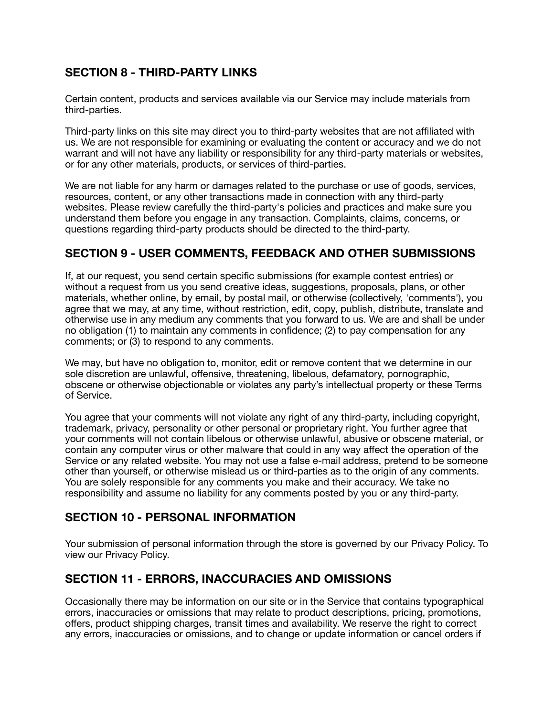# **SECTION 8 - THIRD-PARTY LINKS**

Certain content, products and services available via our Service may include materials from third-parties.

Third-party links on this site may direct you to third-party websites that are not affiliated with us. We are not responsible for examining or evaluating the content or accuracy and we do not warrant and will not have any liability or responsibility for any third-party materials or websites, or for any other materials, products, or services of third-parties.

We are not liable for any harm or damages related to the purchase or use of goods, services, resources, content, or any other transactions made in connection with any third-party websites. Please review carefully the third-party's policies and practices and make sure you understand them before you engage in any transaction. Complaints, claims, concerns, or questions regarding third-party products should be directed to the third-party.

#### **SECTION 9 - USER COMMENTS, FEEDBACK AND OTHER SUBMISSIONS**

If, at our request, you send certain specific submissions (for example contest entries) or without a request from us you send creative ideas, suggestions, proposals, plans, or other materials, whether online, by email, by postal mail, or otherwise (collectively, 'comments'), you agree that we may, at any time, without restriction, edit, copy, publish, distribute, translate and otherwise use in any medium any comments that you forward to us. We are and shall be under no obligation (1) to maintain any comments in confidence; (2) to pay compensation for any comments; or (3) to respond to any comments.

We may, but have no obligation to, monitor, edit or remove content that we determine in our sole discretion are unlawful, offensive, threatening, libelous, defamatory, pornographic, obscene or otherwise objectionable or violates any party's intellectual property or these Terms of Service.

You agree that your comments will not violate any right of any third-party, including copyright, trademark, privacy, personality or other personal or proprietary right. You further agree that your comments will not contain libelous or otherwise unlawful, abusive or obscene material, or contain any computer virus or other malware that could in any way affect the operation of the Service or any related website. You may not use a false e‐mail address, pretend to be someone other than yourself, or otherwise mislead us or third-parties as to the origin of any comments. You are solely responsible for any comments you make and their accuracy. We take no responsibility and assume no liability for any comments posted by you or any third-party.

#### **SECTION 10 - PERSONAL INFORMATION**

Your submission of personal information through the store is governed by our Privacy Policy. To view our Privacy Policy.

# **SECTION 11 - ERRORS, INACCURACIES AND OMISSIONS**

Occasionally there may be information on our site or in the Service that contains typographical errors, inaccuracies or omissions that may relate to product descriptions, pricing, promotions, offers, product shipping charges, transit times and availability. We reserve the right to correct any errors, inaccuracies or omissions, and to change or update information or cancel orders if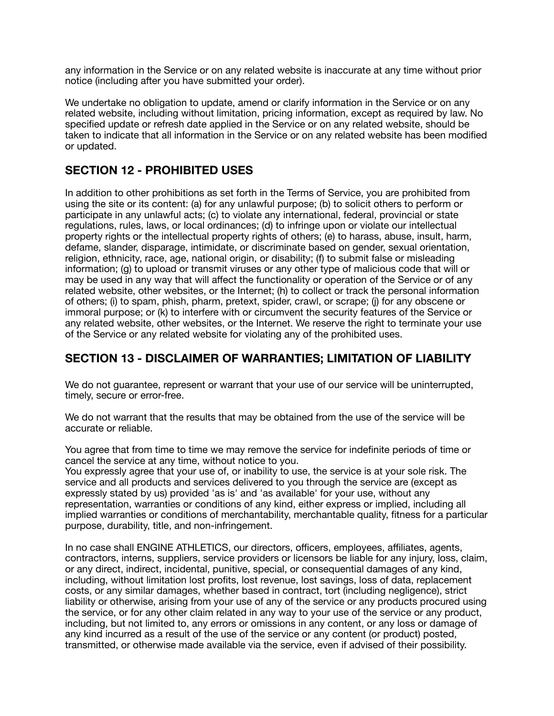any information in the Service or on any related website is inaccurate at any time without prior notice (including after you have submitted your order).

We undertake no obligation to update, amend or clarify information in the Service or on any related website, including without limitation, pricing information, except as required by law. No specified update or refresh date applied in the Service or on any related website, should be taken to indicate that all information in the Service or on any related website has been modified or updated.

#### **SECTION 12 - PROHIBITED USES**

In addition to other prohibitions as set forth in the Terms of Service, you are prohibited from using the site or its content: (a) for any unlawful purpose; (b) to solicit others to perform or participate in any unlawful acts; (c) to violate any international, federal, provincial or state regulations, rules, laws, or local ordinances; (d) to infringe upon or violate our intellectual property rights or the intellectual property rights of others; (e) to harass, abuse, insult, harm, defame, slander, disparage, intimidate, or discriminate based on gender, sexual orientation, religion, ethnicity, race, age, national origin, or disability; (f) to submit false or misleading information; (g) to upload or transmit viruses or any other type of malicious code that will or may be used in any way that will affect the functionality or operation of the Service or of any related website, other websites, or the Internet; (h) to collect or track the personal information of others; (i) to spam, phish, pharm, pretext, spider, crawl, or scrape; (j) for any obscene or immoral purpose; or (k) to interfere with or circumvent the security features of the Service or any related website, other websites, or the Internet. We reserve the right to terminate your use of the Service or any related website for violating any of the prohibited uses.

#### **SECTION 13 - DISCLAIMER OF WARRANTIES; LIMITATION OF LIABILITY**

We do not quarantee, represent or warrant that your use of our service will be uninterrupted, timely, secure or error-free.

We do not warrant that the results that may be obtained from the use of the service will be accurate or reliable.

You agree that from time to time we may remove the service for indefinite periods of time or cancel the service at any time, without notice to you.

You expressly agree that your use of, or inability to use, the service is at your sole risk. The service and all products and services delivered to you through the service are (except as expressly stated by us) provided 'as is' and 'as available' for your use, without any representation, warranties or conditions of any kind, either express or implied, including all implied warranties or conditions of merchantability, merchantable quality, fitness for a particular purpose, durability, title, and non-infringement.

In no case shall ENGINE ATHLETICS, our directors, officers, employees, affiliates, agents, contractors, interns, suppliers, service providers or licensors be liable for any injury, loss, claim, or any direct, indirect, incidental, punitive, special, or consequential damages of any kind, including, without limitation lost profits, lost revenue, lost savings, loss of data, replacement costs, or any similar damages, whether based in contract, tort (including negligence), strict liability or otherwise, arising from your use of any of the service or any products procured using the service, or for any other claim related in any way to your use of the service or any product, including, but not limited to, any errors or omissions in any content, or any loss or damage of any kind incurred as a result of the use of the service or any content (or product) posted, transmitted, or otherwise made available via the service, even if advised of their possibility.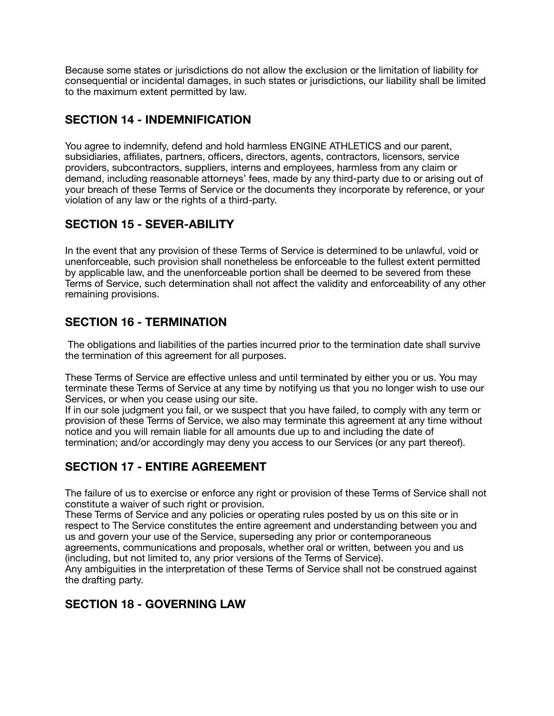Because some states or jurisdictions do not allow the exclusion or the limitation of liability for consequential or incidental damages, in such states or jurisdictions, our liability shall be limited to the maximum extent permitted by law.

# **SECTION 14 - INDEMNIFICATION**

You agree to indemnify, defend and hold harmless ENGINE ATHLETICS and our parent, subsidiaries, affiliates, partners, officers, directors, agents, contractors, licensors, service providers, subcontractors, suppliers, interns and employees, harmless from any claim or demand, including reasonable attorneys' fees, made by any third-party due to or arising out of your breach of these Terms of Service or the documents they incorporate by reference, or your violation of any law or the rights of a third-party.

# **SECTION 15 - SEVER-ABILITY**

In the event that any provision of these Terms of Service is determined to be unlawful, void or unenforceable, such provision shall nonetheless be enforceable to the fullest extent permitted by applicable law, and the unenforceable portion shall be deemed to be severed from these Terms of Service, such determination shall not affect the validity and enforceability of any other remaining provisions.

# **SECTION 16 - TERMINATION**

 The obligations and liabilities of the parties incurred prior to the termination date shall survive the termination of this agreement for all purposes.

These Terms of Service are effective unless and until terminated by either you or us. You may terminate these Terms of Service at any time by notifying us that you no longer wish to use our Services, or when you cease using our site.

If in our sole judgment you fail, or we suspect that you have failed, to comply with any term or provision of these Terms of Service, we also may terminate this agreement at any time without notice and you will remain liable for all amounts due up to and including the date of termination; and/or accordingly may deny you access to our Services (or any part thereof).

# **SECTION 17 - ENTIRE AGREEMENT**

The failure of us to exercise or enforce any right or provision of these Terms of Service shall not constitute a waiver of such right or provision.

These Terms of Service and any policies or operating rules posted by us on this site or in respect to The Service constitutes the entire agreement and understanding between you and us and govern your use of the Service, superseding any prior or contemporaneous agreements, communications and proposals, whether oral or written, between you and us (including, but not limited to, any prior versions of the Terms of Service).

Any ambiguities in the interpretation of these Terms of Service shall not be construed against the drafting party.

# **SECTION 18 - GOVERNING LAW**